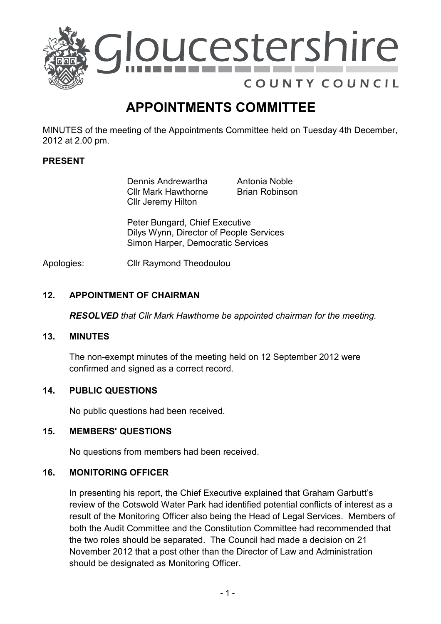

# APPOINTMENTS COMMITTEE

MINUTES of the meeting of the Appointments Committee held on Tuesday 4th December, 2012 at 2.00 pm.

## PRESENT

 Dennis Andrewartha Cllr Mark Hawthorne Cllr Jeremy Hilton

Antonia Noble Brian Robinson

Peter Bungard, Chief Executive Dilys Wynn, Director of People Services Simon Harper, Democratic Services

Apologies: Cllr Raymond Theodoulou

## 12. APPOINTMENT OF CHAIRMAN

RESOLVED that Cllr Mark Hawthorne be appointed chairman for the meeting.

### 13. MINUTES

The non-exempt minutes of the meeting held on 12 September 2012 were confirmed and signed as a correct record.

#### 14. PUBLIC QUESTIONS

No public questions had been received.

#### 15. MEMBERS' QUESTIONS

No questions from members had been received.

#### 16. MONITORING OFFICER

In presenting his report, the Chief Executive explained that Graham Garbutt's review of the Cotswold Water Park had identified potential conflicts of interest as a result of the Monitoring Officer also being the Head of Legal Services. Members of both the Audit Committee and the Constitution Committee had recommended that the two roles should be separated. The Council had made a decision on 21 November 2012 that a post other than the Director of Law and Administration should be designated as Monitoring Officer.